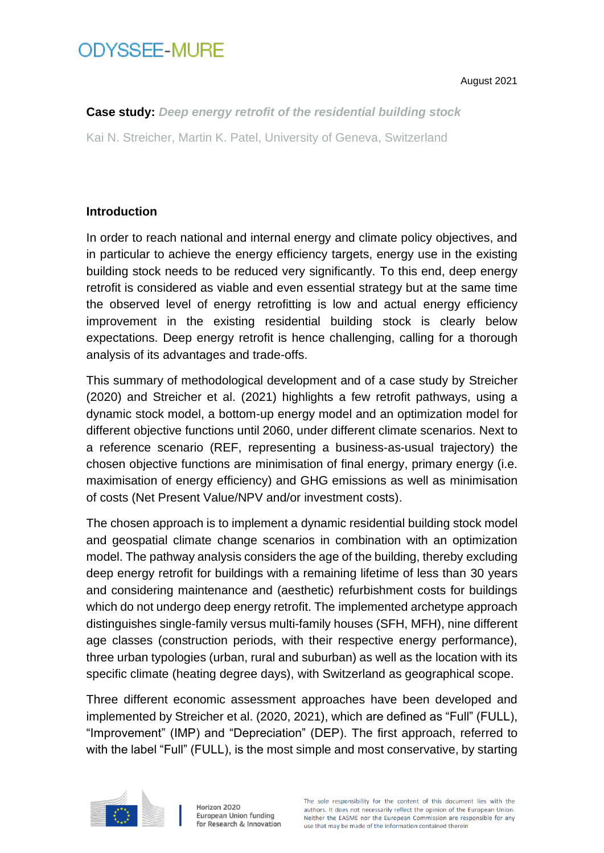# **ODYSSFF-MURF**

August 2021

**Case study:** *Deep energy retrofit of the residential building stock* Kai N. Streicher, Martin K. Patel, University of Geneva, Switzerland

### **Introduction**

In order to reach national and internal energy and climate policy objectives, and in particular to achieve the energy efficiency targets, energy use in the existing building stock needs to be reduced very significantly. To this end, deep energy retrofit is considered as viable and even essential strategy but at the same time the observed level of energy retrofitting is low and actual energy efficiency improvement in the existing residential building stock is clearly below expectations. Deep energy retrofit is hence challenging, calling for a thorough analysis of its advantages and trade-offs.

This summary of methodological development and of a case study by Streicher (2020) and Streicher et al. (2021) highlights a few retrofit pathways, using a dynamic stock model, a bottom-up energy model and an optimization model for different objective functions until 2060, under different climate scenarios. Next to a reference scenario (REF, representing a business-as-usual trajectory) the chosen objective functions are minimisation of final energy, primary energy (i.e. maximisation of energy efficiency) and GHG emissions as well as minimisation of costs (Net Present Value/NPV and/or investment costs).

The chosen approach is to implement a dynamic residential building stock model and geospatial climate change scenarios in combination with an optimization model. The pathway analysis considers the age of the building, thereby excluding deep energy retrofit for buildings with a remaining lifetime of less than 30 years and considering maintenance and (aesthetic) refurbishment costs for buildings which do not undergo deep energy retrofit. The implemented archetype approach distinguishes single-family versus multi-family houses (SFH, MFH), nine different age classes (construction periods, with their respective energy performance), three urban typologies (urban, rural and suburban) as well as the location with its specific climate (heating degree days), with Switzerland as geographical scope.

Three different economic assessment approaches have been developed and implemented by Streicher et al. (2020, 2021), which are defined as "Full" (FULL), "Improvement" (IMP) and "Depreciation" (DEP). The first approach, referred to with the label "Full" (FULL), is the most simple and most conservative, by starting

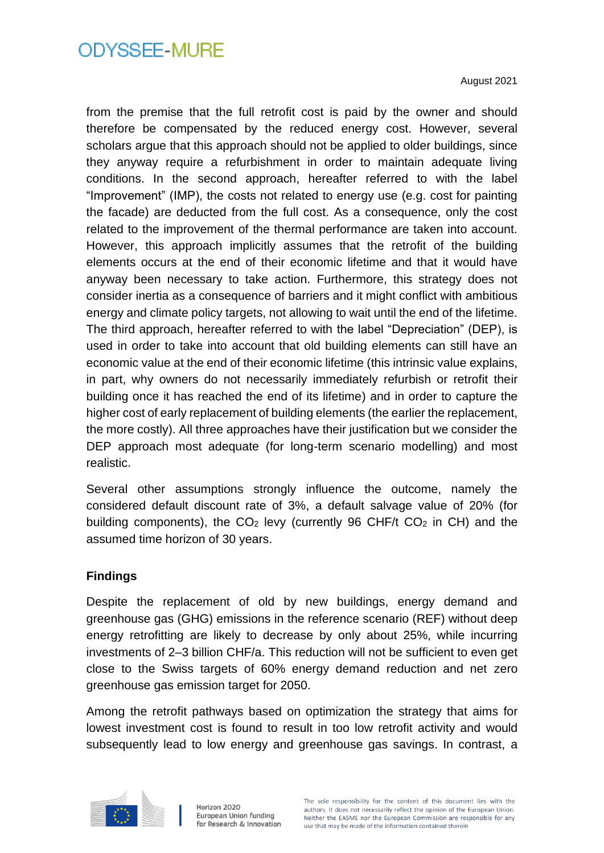August 2021

from the premise that the full retrofit cost is paid by the owner and should therefore be compensated by the reduced energy cost. However, several scholars argue that this approach should not be applied to older buildings, since they anyway require a refurbishment in order to maintain adequate living conditions. In the second approach, hereafter referred to with the label "Improvement" (IMP), the costs not related to energy use (e.g. cost for painting the facade) are deducted from the full cost. As a consequence, only the cost related to the improvement of the thermal performance are taken into account. However, this approach implicitly assumes that the retrofit of the building elements occurs at the end of their economic lifetime and that it would have anyway been necessary to take action. Furthermore, this strategy does not consider inertia as a consequence of barriers and it might conflict with ambitious energy and climate policy targets, not allowing to wait until the end of the lifetime. The third approach, hereafter referred to with the label "Depreciation" (DEP), is used in order to take into account that old building elements can still have an economic value at the end of their economic lifetime (this intrinsic value explains, in part, why owners do not necessarily immediately refurbish or retrofit their building once it has reached the end of its lifetime) and in order to capture the higher cost of early replacement of building elements (the earlier the replacement, the more costly). All three approaches have their justification but we consider the DEP approach most adequate (for long-term scenario modelling) and most realistic.

Several other assumptions strongly influence the outcome, namely the considered default discount rate of 3%, a default salvage value of 20% (for building components), the  $CO<sub>2</sub>$  levy (currently 96 CHF/t  $CO<sub>2</sub>$  in CH) and the assumed time horizon of 30 years.

#### **Findings**

Despite the replacement of old by new buildings, energy demand and greenhouse gas (GHG) emissions in the reference scenario (REF) without deep energy retrofitting are likely to decrease by only about 25%, while incurring investments of 2–3 billion CHF/a. This reduction will not be sufficient to even get close to the Swiss targets of 60% energy demand reduction and net zero greenhouse gas emission target for 2050.

Among the retrofit pathways based on optimization the strategy that aims for lowest investment cost is found to result in too low retrofit activity and would subsequently lead to low energy and greenhouse gas savings. In contrast, a

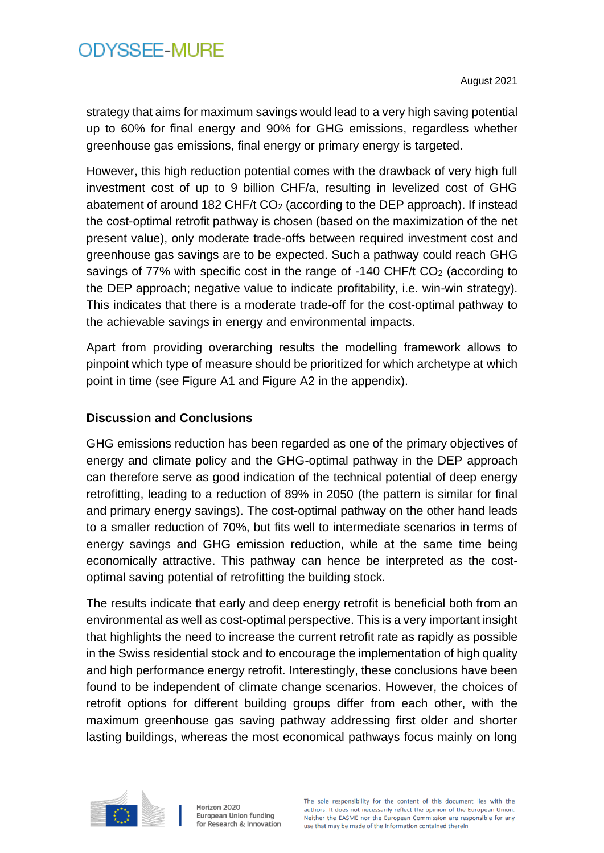August 2021

strategy that aims for maximum savings would lead to a very high saving potential up to 60% for final energy and 90% for GHG emissions, regardless whether greenhouse gas emissions, final energy or primary energy is targeted.

However, this high reduction potential comes with the drawback of very high full investment cost of up to 9 billion CHF/a, resulting in levelized cost of GHG abatement of around 182 CHF/t CO<sub>2</sub> (according to the DEP approach). If instead the cost-optimal retrofit pathway is chosen (based on the maximization of the net present value), only moderate trade-offs between required investment cost and greenhouse gas savings are to be expected. Such a pathway could reach GHG savings of 77% with specific cost in the range of -140 CHF/t CO<sub>2</sub> (according to the DEP approach; negative value to indicate profitability, i.e. win-win strategy). This indicates that there is a moderate trade-off for the cost-optimal pathway to the achievable savings in energy and environmental impacts.

Apart from providing overarching results the modelling framework allows to pinpoint which type of measure should be prioritized for which archetype at which point in time (see Figure A1 and Figure A2 in the appendix).

#### **Discussion and Conclusions**

GHG emissions reduction has been regarded as one of the primary objectives of energy and climate policy and the GHG-optimal pathway in the DEP approach can therefore serve as good indication of the technical potential of deep energy retrofitting, leading to a reduction of 89% in 2050 (the pattern is similar for final and primary energy savings). The cost-optimal pathway on the other hand leads to a smaller reduction of 70%, but fits well to intermediate scenarios in terms of energy savings and GHG emission reduction, while at the same time being economically attractive. This pathway can hence be interpreted as the costoptimal saving potential of retrofitting the building stock.

The results indicate that early and deep energy retrofit is beneficial both from an environmental as well as cost-optimal perspective. This is a very important insight that highlights the need to increase the current retrofit rate as rapidly as possible in the Swiss residential stock and to encourage the implementation of high quality and high performance energy retrofit. Interestingly, these conclusions have been found to be independent of climate change scenarios. However, the choices of retrofit options for different building groups differ from each other, with the maximum greenhouse gas saving pathway addressing first older and shorter lasting buildings, whereas the most economical pathways focus mainly on long

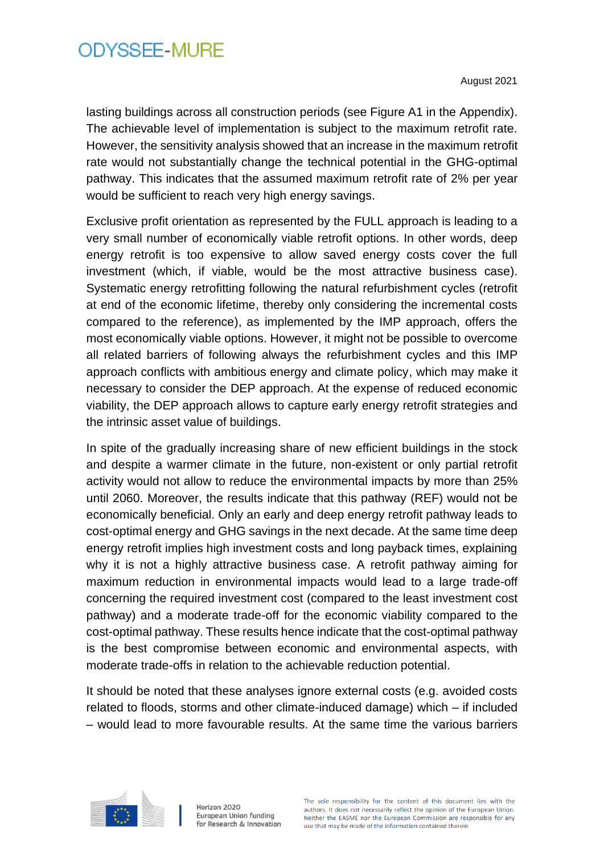August 2021

lasting buildings across all construction periods (see Figure A1 in the Appendix). The achievable level of implementation is subject to the maximum retrofit rate. However, the sensitivity analysis showed that an increase in the maximum retrofit rate would not substantially change the technical potential in the GHG-optimal pathway. This indicates that the assumed maximum retrofit rate of 2% per year would be sufficient to reach very high energy savings.

Exclusive profit orientation as represented by the FULL approach is leading to a very small number of economically viable retrofit options. In other words, deep energy retrofit is too expensive to allow saved energy costs cover the full investment (which, if viable, would be the most attractive business case). Systematic energy retrofitting following the natural refurbishment cycles (retrofit at end of the economic lifetime, thereby only considering the incremental costs compared to the reference), as implemented by the IMP approach, offers the most economically viable options. However, it might not be possible to overcome all related barriers of following always the refurbishment cycles and this IMP approach conflicts with ambitious energy and climate policy, which may make it necessary to consider the DEP approach. At the expense of reduced economic viability, the DEP approach allows to capture early energy retrofit strategies and the intrinsic asset value of buildings.

In spite of the gradually increasing share of new efficient buildings in the stock and despite a warmer climate in the future, non-existent or only partial retrofit activity would not allow to reduce the environmental impacts by more than 25% until 2060. Moreover, the results indicate that this pathway (REF) would not be economically beneficial. Only an early and deep energy retrofit pathway leads to cost-optimal energy and GHG savings in the next decade. At the same time deep energy retrofit implies high investment costs and long payback times, explaining why it is not a highly attractive business case. A retrofit pathway aiming for maximum reduction in environmental impacts would lead to a large trade-off concerning the required investment cost (compared to the least investment cost pathway) and a moderate trade-off for the economic viability compared to the cost-optimal pathway. These results hence indicate that the cost-optimal pathway is the best compromise between economic and environmental aspects, with moderate trade-offs in relation to the achievable reduction potential.

It should be noted that these analyses ignore external costs (e.g. avoided costs related to floods, storms and other climate-induced damage) which – if included – would lead to more favourable results. At the same time the various barriers

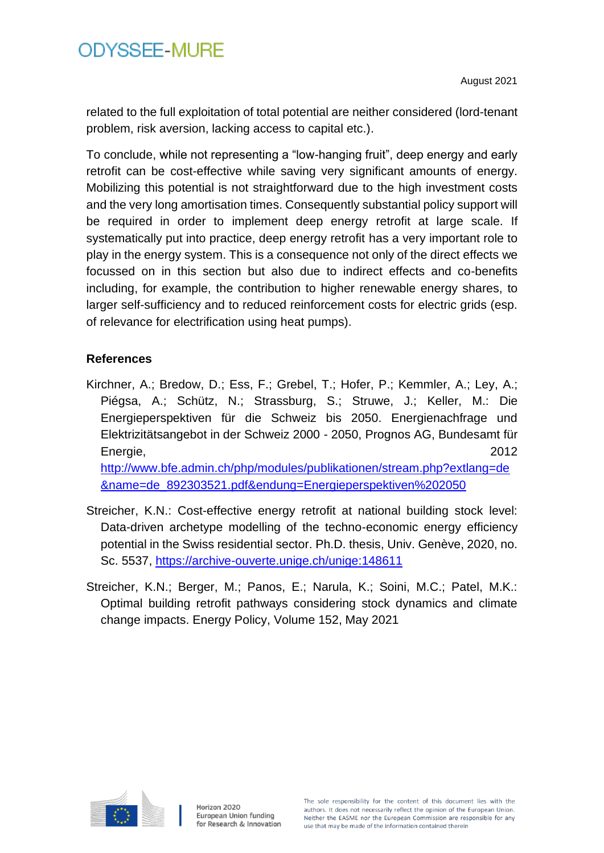related to the full exploitation of total potential are neither considered (lord-tenant problem, risk aversion, lacking access to capital etc.).

To conclude, while not representing a "low-hanging fruit", deep energy and early retrofit can be cost-effective while saving very significant amounts of energy. Mobilizing this potential is not straightforward due to the high investment costs and the very long amortisation times. Consequently substantial policy support will be required in order to implement deep energy retrofit at large scale. If systematically put into practice, deep energy retrofit has a very important role to play in the energy system. This is a consequence not only of the direct effects we focussed on in this section but also due to indirect effects and co-benefits including, for example, the contribution to higher renewable energy shares, to larger self-sufficiency and to reduced reinforcement costs for electric grids (esp. of relevance for electrification using heat pumps).

#### **References**

- Kirchner, A.; Bredow, D.; Ess, F.; Grebel, T.; Hofer, P.; Kemmler, A.; Ley, A.; Piégsa, A.; Schütz, N.; Strassburg, S.; Struwe, J.; Keller, M.: Die Energieperspektiven für die Schweiz bis 2050. Energienachfrage und Elektrizitätsangebot in der Schweiz 2000 - 2050, Prognos AG, Bundesamt für Energie, 2012 [http://www.bfe.admin.ch/php/modules/publikationen/stream.php?extlang=de](http://www.bfe.admin.ch/php/modules/publikationen/stream.php?extlang=de&name=de_892303521.pdf&endung=Energieperspektiven%202050) [&name=de\\_892303521.pdf&endung=Energieperspektiven%202050](http://www.bfe.admin.ch/php/modules/publikationen/stream.php?extlang=de&name=de_892303521.pdf&endung=Energieperspektiven%202050)
- Streicher, K.N.: Cost-effective energy retrofit at national building stock level: Data-driven archetype modelling of the techno-economic energy efficiency potential in the Swiss residential sector. Ph.D. thesis, Univ. Genève, 2020, no. Sc. 5537,<https://archive-ouverte.unige.ch/unige:148611>
- Streicher, K.N.; Berger, M.; Panos, E.; Narula, K.; Soini, M.C.; Patel, M.K.: Optimal building retrofit pathways considering stock dynamics and climate change impacts. Energy Policy, Volume 152, May 2021

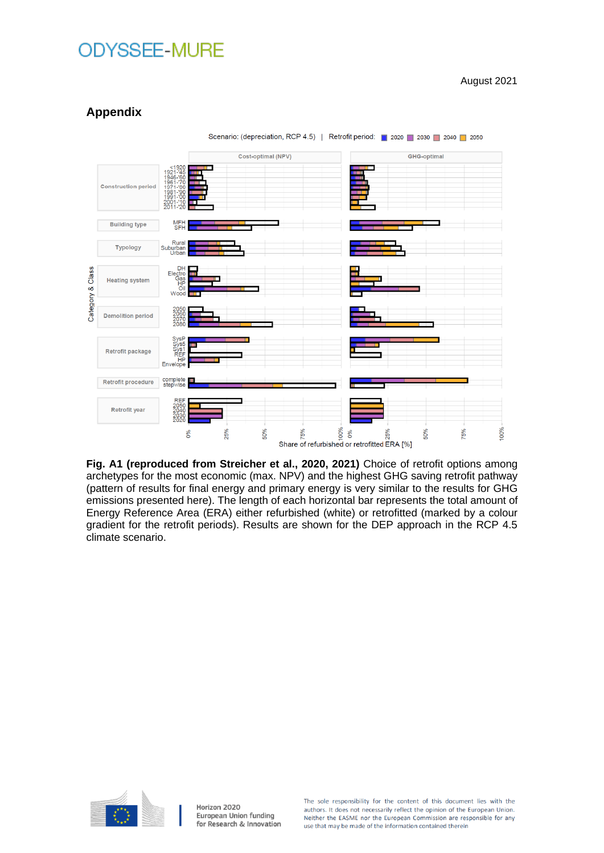August 2021



### **Appendix**

**Fig. A1 (reproduced from Streicher et al., 2020, 2021)** Choice of retrofit options among archetypes for the most economic (max. NPV) and the highest GHG saving retrofit pathway (pattern of results for final energy and primary energy is very similar to the results for GHG emissions presented here). The length of each horizontal bar represents the total amount of Energy Reference Area (ERA) either refurbished (white) or retrofitted (marked by a colour gradient for the retrofit periods). Results are shown for the DEP approach in the RCP 4.5 climate scenario.



Horizon 2020 European Union funding for Research & Innovation The sole responsibility for the content of this document lies with the authors. It does not necessarily reflect the opinion of the European Union. Neither the EASME nor the European Commission are responsible for any use that may be made of the information contained therein